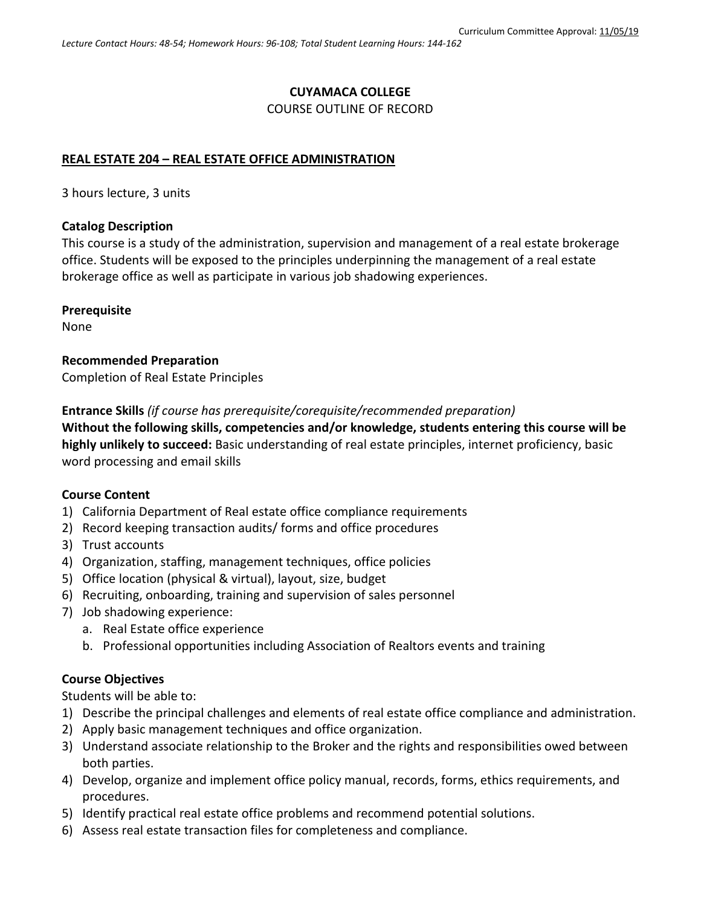# **CUYAMACA COLLEGE**

#### COURSE OUTLINE OF RECORD

### **REAL ESTATE 204 – REAL ESTATE OFFICE ADMINISTRATION**

3 hours lecture, 3 units

#### **Catalog Description**

This course is a study of the administration, supervision and management of a real estate brokerage office. Students will be exposed to the principles underpinning the management of a real estate brokerage office as well as participate in various job shadowing experiences.

#### **Prerequisite**

None

**Recommended Preparation** Completion of Real Estate Principles

**Entrance Skills** *(if course has prerequisite/corequisite/recommended preparation)*

**Without the following skills, competencies and/or knowledge, students entering this course will be highly unlikely to succeed:** Basic understanding of real estate principles, internet proficiency, basic word processing and email skills

### **Course Content**

- 1) California Department of Real estate office compliance requirements
- 2) Record keeping transaction audits/ forms and office procedures
- 3) Trust accounts
- 4) Organization, staffing, management techniques, office policies
- 5) Office location (physical & virtual), layout, size, budget
- 6) Recruiting, onboarding, training and supervision of sales personnel
- 7) Job shadowing experience:
	- a. Real Estate office experience
	- b. Professional opportunities including Association of Realtors events and training

### **Course Objectives**

Students will be able to:

- 1) Describe the principal challenges and elements of real estate office compliance and administration.
- 2) Apply basic management techniques and office organization.
- 3) Understand associate relationship to the Broker and the rights and responsibilities owed between both parties.
- 4) Develop, organize and implement office policy manual, records, forms, ethics requirements, and procedures.
- 5) Identify practical real estate office problems and recommend potential solutions.
- 6) Assess real estate transaction files for completeness and compliance.